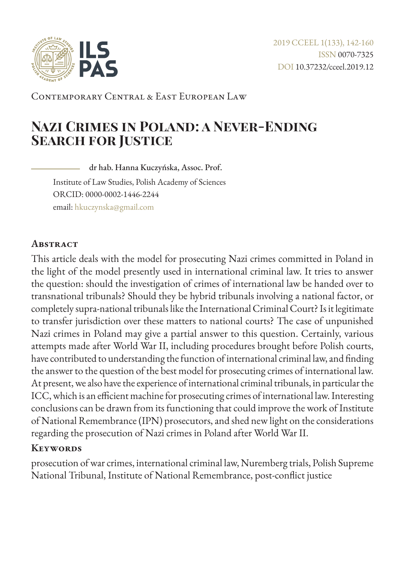

Contemporary Central & East European Law

# **Nazi Crimes in Poland: a Never-Ending Search for Justice**

dr hab. Hanna Kuczyńska, Assoc. Prof. Institute of Law Studies, Polish Academy of Sciences ORCID: 0000-0002-1446-2244 email: [hkuczynska@gmail.com](mailto:hkuczynska%40gmail.com?subject=)

#### **Abstract**

This article deals with the model for prosecuting Nazi crimes committed in Poland in the light of the model presently used in international criminal law. It tries to answer the question: should the investigation of crimes of international law be handed over to transnational tribunals? Should they be hybrid tribunals involving a national factor, or completely supra-national tribunals like the International Criminal Court? Is it legitimate to transfer jurisdiction over these matters to national courts? The case of unpunished Nazi crimes in Poland may give a partial answer to this question. Certainly, various attempts made after World War II, including procedures brought before Polish courts, have contributed to understanding the function of international criminal law, and finding the answer to the question of the best model for prosecuting crimes of international law. At present, we also have the experience of international criminal tribunals, in particular the ICC, which is an efficient machine for prosecuting crimes of international law. Interesting conclusions can be drawn from its functioning that could improve the work of Institute of National Remembrance (IPN) prosecutors, and shed new light on the considerations regarding the prosecution of Nazi crimes in Poland after World War II.

#### **Keywords**

prosecution of war crimes, international criminal law, Nuremberg trials, Polish Supreme National Tribunal, Institute of National Remembrance, post-conflict justice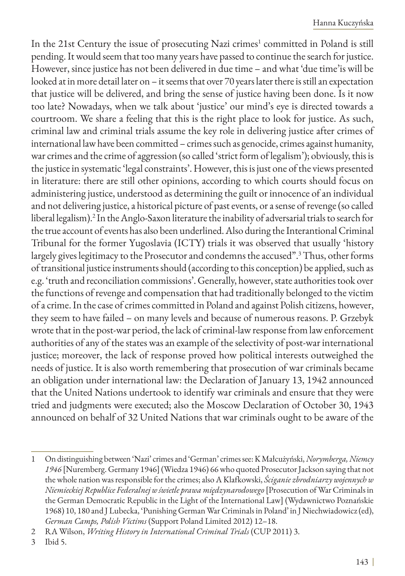In the 21st Century the issue of prosecuting Nazi crimes $^{\rm l}$  committed in Poland is still pending. It would seem that too many years have passed to continue the search for justice. However, since justice has not been delivered in due time – and what 'due time'is will be looked at in more detail later on – it seems that over 70 years later there is still an expectation that justice will be delivered, and bring the sense of justice having been done. Is it now too late? Nowadays, when we talk about 'justice' our mind's eye is directed towards a courtroom. We share a feeling that this is the right place to look for justice. As such, criminal law and criminal trials assume the key role in delivering justice after crimes of international law have been committed – crimes such as genocide, crimes against humanity, war crimes and the crime of aggression (so called 'strict form of legalism'); obviously, this is the justice in systematic 'legal constraints'. However, this is just one of the views presented in literature: there are still other opinions, according to which courts should focus on administering justice, understood as determining the guilt or innocence of an individual and not delivering justice, a historical picture of past events, or a sense of revenge (so called liberal legalism).2 In the Anglo-Saxon literature the inability of adversarial trials to search for the true account of events has also been underlined. Also during the Interantional Criminal Tribunal for the former Yugoslavia (ICTY) trials it was observed that usually 'history largely gives legitimacy to the Prosecutor and condemns the accused".3 Thus, other forms of transitional justice instruments should (according to this conception) be applied, such as e.g. 'truth and reconciliation commissions'. Generally, however, state authorities took over the functions of revenge and compensation that had traditionally belonged to the victim of a crime. In the case of crimes committed in Poland and against Polish citizens, however, they seem to have failed – on many levels and because of numerous reasons. P. Grzebyk wrote that in the post-war period, the lack of criminal-law response from law enforcement authorities of any of the states was an example of the selectivity of post-war international justice; moreover, the lack of response proved how political interests outweighed the needs of justice. It is also worth remembering that prosecution of war criminals became an obligation under international law: the Declaration of January 13, 1942 announced that the United Nations undertook to identify war criminals and ensure that they were tried and judgments were executed; also the Moscow Declaration of October 30, 1943 announced on behalf of 32 United Nations that war criminals ought to be aware of the

<sup>1</sup> On distinguishing between 'Nazi' crimes and 'German' crimes see: K Małcużyński, *Norymberga, Niemcy 1946* [Nuremberg. Germany 1946] (Wiedza 1946) 66 who quoted Prosecutor Jackson saying that not the whole nation was responsible for the crimes; also A Klafkowski, *Ściganie zbrodniarzy wojennych w Niemieckiej Republice Federalnej w świetle prawa międzynarodowego* [Prosecution of War Criminals in the German Democratic Republic in the Light of the International Law] (Wydawnictwo Poznańskie 1968) 10, 180 and J Lubecka, 'Punishing German War Criminals in Poland' in J Niechwiadowicz (ed), *German Camps, Polish Victims* (Support Poland Limited 2012) 12–18.

<sup>2</sup> RA Wilson, *Writing History in International Criminal Trials* (CUP 2011) 3.

<sup>3</sup> Ibid 5.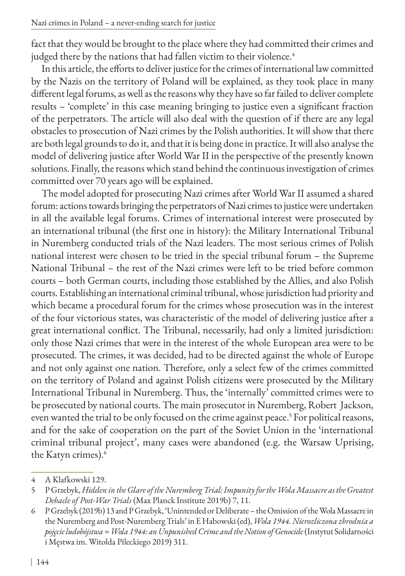fact that they would be brought to the place where they had committed their crimes and judged there by the nations that had fallen victim to their violence.<sup>4</sup>

In this article, the efforts to deliver justice for the crimes of international law committed by the Nazis on the territory of Poland will be explained, as they took place in many different legal forums, as well as the reasons why they have so far failed to deliver complete results – 'complete' in this case meaning bringing to justice even a significant fraction of the perpetrators. The article will also deal with the question of if there are any legal obstacles to prosecution of Nazi crimes by the Polish authorities. It will show that there are both legal grounds to do it, and that it is being done in practice. It will also analyse the model of delivering justice after World War II in the perspective of the presently known solutions. Finally, the reasons which stand behind the continuous investigation of crimes committed over 70 years ago will be explained.

The model adopted for prosecuting Nazi crimes after World War II assumed a shared forum: actions towards bringing the perpetrators of Nazi crimes to justice were undertaken in all the available legal forums. Crimes of international interest were prosecuted by an international tribunal (the first one in history): the Military International Tribunal in Nuremberg conducted trials of the Nazi leaders. The most serious crimes of Polish national interest were chosen to be tried in the special tribunal forum – the Supreme National Tribunal – the rest of the Nazi crimes were left to be tried before common courts – both German courts, including those established by the Allies, and also Polish courts. Establishing an international criminal tribunal, whose jurisdiction had priority and which became a procedural forum for the crimes whose prosecution was in the interest of the four victorious states, was characteristic of the model of delivering justice after a great international conflict. The Tribunal, necessarily, had only a limited jurisdiction: only those Nazi crimes that were in the interest of the whole European area were to be prosecuted. The crimes, it was decided, had to be directed against the whole of Europe and not only against one nation. Therefore, only a select few of the crimes committed on the territory of Poland and against Polish citizens were prosecuted by the Military International Tribunal in Nuremberg. Thus, the 'internally' committed crimes were to be prosecuted by national courts. The main prosecutor in Nuremberg, Robert Jackson, even wanted the trial to be only focused on the crime against peace.<sup>5</sup> For political reasons, and for the sake of cooperation on the part of the Soviet Union in the 'international criminal tribunal project', many cases were abandoned (e.g. the Warsaw Uprising, the Katyn crimes).<sup>6</sup>

<sup>4</sup> A Klafkowski 129.

<sup>5</sup> P Grzebyk, *Hidden in the Glare of the Nuremberg Trial: Impunity for the Wola Massacre as the Greatest Debacle of Post-War Trials* (Max Planck Institute 2019b) 7, 11.

<sup>6</sup> P Grzebyk (2019b) 13 and P Grzebyk, 'Unintended or Deliberate – the Omission of the Wola Massacre in the Nuremberg and Post-Nuremberg Trials' in E Habowski (ed), *Wola 1944. Nierozliczona zbrodnia a pojęcie ludobójstwa = Wola 1944: an Unpunished Crime and the Notion of Genocide* (Instytut Solidarności i Męstwa im. Witolda Pileckiego 2019) 311.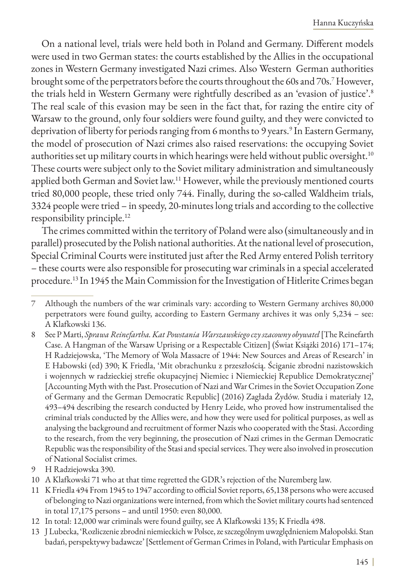On a national level, trials were held both in Poland and Germany. Different models were used in two German states: the courts established by the Allies in the occupational zones in Western Germany investigated Nazi crimes. Also Western German authorities brought some of the perpetrators before the courts throughout the 60s and 70s.7 However, the trials held in Western Germany were rightfully described as an 'evasion of justice'.8 The real scale of this evasion may be seen in the fact that, for razing the entire city of Warsaw to the ground, only four soldiers were found guilty, and they were convicted to deprivation of liberty for periods ranging from 6 months to 9 years.<sup>9</sup> In Eastern Germany, the model of prosecution of Nazi crimes also raised reservations: the occupying Soviet authorities set up military courts in which hearings were held without public oversight.<sup>10</sup> These courts were subject only to the Soviet military administration and simultaneously applied both German and Soviet law.<sup>11</sup> However, while the previously mentioned courts tried 80,000 people, these tried only 744. Finally, during the so-called Waldheim trials, 3324 people were tried – in speedy, 20-minutes long trials and according to the collective responsibility principle.12

The crimes committed within the territory of Poland were also (simultaneously and in parallel) prosecuted by the Polish national authorities. At the national level of prosecution, Special Criminal Courts were instituted just after the Red Army entered Polish territory – these courts were also responsible for prosecuting war criminals in a special accelerated procedure.13 In 1945 the Main Commission for the Investigation of Hitlerite Crimes began

- 9 H Radziejowska 390.
- 10 A Klafkowski 71 who at that time regretted the GDR's rejection of the Nuremberg law.
- 11 K Friedla 494 From 1945 to 1947 according to official Soviet reports, 65,138 persons who were accused of belonging to Nazi organizations were interned, from which the Soviet military courts had sentenced in total 17,175 persons – and until 1950: even 80,000.
- 12 In total: 12,000 war criminals were found guilty, see A Klafkowski 135; K Friedla 498.
- 13 J Lubecka, 'Rozliczenie zbrodni niemieckich w Polsce, ze szczególnym uwzględnieniem Małopolski. Stan badań, perspektywy badawcze' [Settlement of German Crimes in Poland, with Particular Emphasis on

<sup>7</sup> Although the numbers of the war criminals vary: according to Western Germany archives 80,000 perpetrators were found guilty, according to Eastern Germany archives it was only 5,234 – see: A Klafkowski 136.

<sup>8</sup> See P Marti, *Sprawa Reinefartha. Kat Powstania Warszawskiego czy szacowny obywatel* [The Reinefarth Case. A Hangman of the Warsaw Uprising or a Respectable Citizen] (Świat Książki 2016) 171–174; H Radziejowska, 'The Memory of Wola Massacre of 1944: New Sources and Areas of Research' in E Habowski (ed) 390; K Friedla, 'Mit obrachunku z przeszłością. Ściganie zbrodni nazistowskich i wojennych w radzieckiej strefie okupacyjnej Niemiec i Niemieckiej Republice Demokratycznej' [Accounting Myth with the Past. Prosecution of Nazi and War Crimes in the Soviet Occupation Zone of Germany and the German Democratic Republic] (2016) Zagłada Żydów. Studia i materiały 12, 493–494 describing the research conducted by Henry Leide, who proved how instrumentalised the criminal trials conducted by the Allies were, and how they were used for political purposes, as well as analysing the background and recruitment of former Nazis who cooperated with the Stasi. According to the research, from the very beginning, the prosecution of Nazi crimes in the German Democratic Republic was the responsibility of the Stasi and special services. They were also involved in prosecution of National Socialist crimes.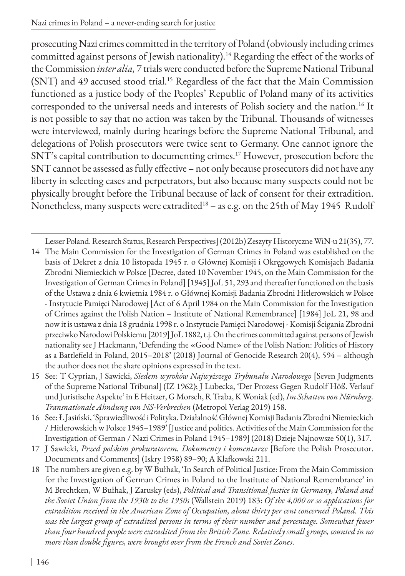prosecuting Nazi crimes committed in the territory of Poland (obviously including crimes committed against persons of Jewish nationality).<sup>14</sup> Regarding the effect of the works of the Commission *inter alia,* 7 trials were conducted before the Supreme National Tribunal (SNT) and 49 accused stood trial.15 Regardless of the fact that the Main Commission functioned as a justice body of the Peoples' Republic of Poland many of its activities corresponded to the universal needs and interests of Polish society and the nation.<sup>16</sup> It is not possible to say that no action was taken by the Tribunal. Thousands of witnesses were interviewed, mainly during hearings before the Supreme National Tribunal, and delegations of Polish prosecutors were twice sent to Germany. One cannot ignore the SNT's capital contribution to documenting crimes.17 However, prosecution before the SNT cannot be assessed as fully effective – not only because prosecutors did not have any liberty in selecting cases and perpetrators, but also because many suspects could not be physically brought before the Tribunal because of lack of consent for their extradition. Nonetheless, many suspects were extradited<sup>18</sup> - as e.g. on the 25th of May 1945 Rudolf

Lesser Poland. Research Status, Research Perspectives] (2012b) Zeszyty Historyczne WiN-u 21(35), 77.

- 14 The Main Commission for the Investigation of German Crimes in Poland was established on the basis of Dekret z dnia 10 listopada 1945 r. o Głównej Komisji i Okręgowych Komisjach Badania Zbrodni Niemieckich w Polsce [Decree, dated 10 November 1945, on the Main Commission for the Investigation of German Crimes in Poland] [1945] JoL 51, 293 and thereafter functioned on the basis of the Ustawa z dnia 6 kwietnia 1984 r. o Głównej Komisji Badania Zbrodni Hitlerowskich w Polsce - Instytucie Pamięci Narodowej [Act of 6 April 1984 on the Main Commission for the Investigation of Crimes against the Polish Nation – Institute of National Remembrance] [1984] JoL 21, 98 and now it is ustawa z dnia 18 grudnia 1998 r. o Instytucie Pamięci Narodowej - Komisji Ścigania Zbrodni przeciwko Narodowi Polskiemu [2019] JoL 1882, t.j. On the crimes committed against persons of Jewish nationality see J Hackmann, 'Defending the «Good Name» of the Polish Nation: Politics of History as a Battlefield in Poland, 2015–2018' (2018) Journal of Genocide Research 20(4), 594 – although the author does not the share opinions expressed in the text.
- 15 See: T Cyprian, J Sawicki, *Siedem wyroków Najwyższego Trybunału Narodowego* [Seven Judgments of the Supreme National Tribunal] (IZ 1962); J Lubecka, 'Der Prozess Gegen Rudolf Höß. Verlauf und Juristische Aspekte' in E Heitzer, G Morsch, R Traba, K Woniak (ed), *Im Schatten von Nürnberg. Transnationale Ahndung von NS-Verbrechen* (Metropol Verlag 2019) 158.
- 16 See: Ł Jasiński, 'Sprawiedliwość i Polityka. Działalność Głównej Komisji Badania Zbrodni Niemieckich / Hitlerowskich w Polsce 1945–1989' [Justice and politics. Activities of the Main Commission for the Investigation of German / Nazi Crimes in Poland 1945–1989] (2018) Dzieje Najnowsze 50(1), 317.
- 17 J Sawicki, *Przed polskim prokuratorem. Dokumenty i komentarze* [Before the Polish Prosecutor. Documents and Comments] (Iskry 1958) 89–90; A Klafkowski 211.
- 18 The numbers are given e.g. by W Bułhak, 'In Search of Political Justice: From the Main Commission for the Investigation of German Crimes in Poland to the Institute of National Remembrance' in M Brechtken, W Bułhak, J Zarusky (eds), *Political and Transitional Justice in Germany, Poland and the Soviet Union from the 1930s to the 1950s* (Wallstein 2019) 183: *Of the 4,000 or so applications for extradition received in the American Zone of Occupation, about thirty per cent concerned Poland. This was the largest group of extradited persons in terms of their number and percentage. Somewhat fewer than four hundred people were extradited from the British Zone. Relatively small groups, counted in no more than double figures, were brought over from the French and Soviet Zones*.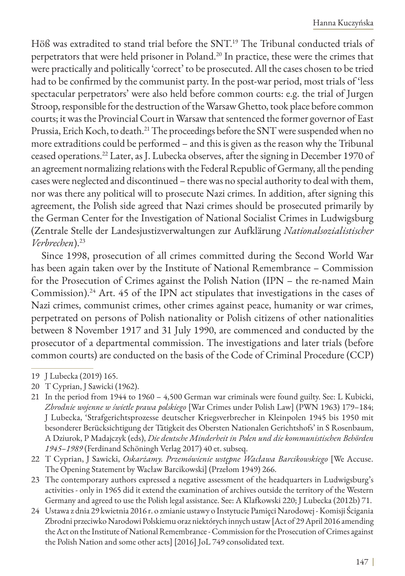Höß was extradited to stand trial before the SNT.<sup>19</sup> The Tribunal conducted trials of perpetrators that were held prisoner in Poland.<sup>20</sup> In practice, these were the crimes that were practically and politically 'correct' to be prosecuted. All the cases chosen to be tried had to be confirmed by the communist party. In the post-war period, most trials of 'less spectacular perpetrators' were also held before common courts: e.g. the trial of Jurgen Stroop, responsible for the destruction of the Warsaw Ghetto, took place before common courts; it was the Provincial Court in Warsaw that sentenced the former governor of East Prussia, Erich Koch, to death.<sup>21</sup> The proceedings before the SNT were suspended when no more extraditions could be performed – and this is given as the reason why the Tribunal ceased operations.22 Later, as J. Lubecka observes, after the signing in December 1970 of an agreement normalizing relations with the Federal Republic of Germany, all the pending cases were neglected and discontinued – there was no special authority to deal with them, nor was there any political will to prosecute Nazi crimes. In addition, after signing this agreement, the Polish side agreed that Nazi crimes should be prosecuted primarily by the German Center for the Investigation of National Socialist Crimes in Ludwigsburg (Zentrale Stelle der Landesjustizverwaltungen zur Aufklärung *Nationalsozialistischer Verbrechen*).23

Since 1998, prosecution of all crimes committed during the Second World War has been again taken over by the Institute of National Remembrance – Commission for the Prosecution of Crimes against the Polish Nation (IPN – the re-named Main Commission).24 Art. 45 of the IPN act stipulates that investigations in the cases of Nazi crimes, communist crimes, other crimes against peace, humanity or war crimes, perpetrated on persons of Polish nationality or Polish citizens of other nationalities between 8 November 1917 and 31 July 1990, are commenced and conducted by the prosecutor of a departmental commission. The investigations and later trials (before common courts) are conducted on the basis of the Code of Criminal Procedure (CCP)

<sup>19</sup> J Lubecka (2019) 165.

<sup>20</sup> T Cyprian, J Sawicki (1962).

<sup>21</sup> In the period from 1944 to 1960 – 4,500 German war criminals were found guilty. See: L Kubicki, *Zbrodnie wojenne w świetle prawa polskiego* [War Crimes under Polish Law] (PWN 1963) 179–184; J Lubecka, 'Strafgerichtsprozesse deutscher Kriegsverbrecher in Kleinpolen 1945 bis 1950 mit besonderer Berücksichtigung der Tätigkeit des Obersten Nationalen Gerichtshofs' in S Rosenbaum, A Dziurok, P Madajczyk (eds), *Die deutsche Minderheit in Polen und die kommunistischen Behörden 1945–1989* (Ferdinand Schöningh Verlag 2017) 40 et. subseq.

<sup>22</sup> T Cyprian, J Sawicki, *Oskarżamy. Przemówienie wstępne Wacława Barcikowskiego* [We Accuse. The Opening Statement by Wacław Barcikowski] (Przełom 1949) 266.

<sup>23</sup> The contemporary authors expressed a negative assessment of the headquarters in Ludwigsburg's activities - only in 1965 did it extend the examination of archives outside the territory of the Western Germany and agreed to use the Polish legal assistance. See: A Klafkowski 220; J Lubecka (2012b) 71.

<sup>24</sup> Ustawa z dnia 29 kwietnia 2016 r. o zmianie ustawy o Instytucie Pamięci Narodowej - Komisji Ścigania Zbrodni przeciwko Narodowi Polskiemu oraz niektórych innych ustaw [Act of 29 April 2016 amending the Act on the Institute of National Remembrance - Commission for the Prosecution of Crimes against the Polish Nation and some other acts] [2016] JoL 749 consolidated text.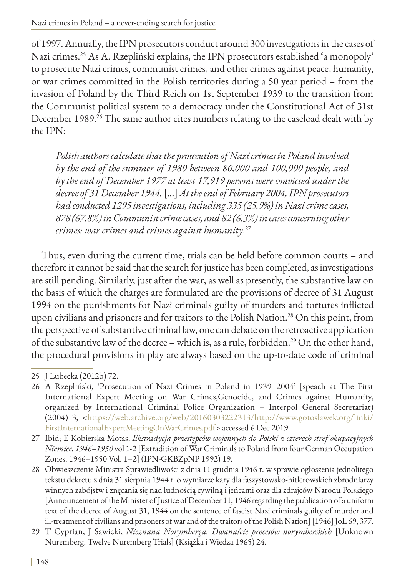of 1997. Annually, the IPN prosecutors conduct around 300 investigations in the cases of Nazi crimes.25 As A. Rzepliński explains, the IPN prosecutors established 'a monopoly' to prosecute Nazi crimes, communist crimes, and other crimes against peace, humanity, or war crimes committed in the Polish territories during a 50 year period – from the invasion of Poland by the Third Reich on 1st September 1939 to the transition from the Communist political system to a democracy under the Constitutional Act of 31st December 1989.<sup>26</sup> The same author cites numbers relating to the caseload dealt with by the IPN:

*Polish authors calculate that the prosecution of Nazi crimes in Poland involved by the end of the summer of 1980 between 80,000 and 100,000 people, and by the end of December 1977 at least 17,919 persons were convicted under the decree of 31 December 1944.* […] *At the end of February 2004, IPN prosecutors had conducted 1295 investigations, including 335 (25.9%) in Nazi crime cases, 878 (67.8%) in Communist crime cases, and 82 (6.3%) in cases concerning other crimes: war crimes and crimes against humanity*. 27

Thus, even during the current time, trials can be held before common courts – and therefore it cannot be said that the search for justice has been completed, as investigations are still pending. Similarly, just after the war, as well as presently, the substantive law on the basis of which the charges are formulated are the provisions of decree of 31 August 1994 on the punishments for Nazi criminals guilty of murders and tortures inflicted upon civilians and prisoners and for traitors to the Polish Nation.<sup>28</sup> On this point, from the perspective of substantive criminal law, one can debate on the retroactive application of the substantive law of the decree – which is, as a rule, forbidden.<sup>29</sup> On the other hand, the procedural provisions in play are always based on the up-to-date code of criminal

<sup>25</sup> J Lubecka (2012b) 72.

<sup>26</sup> A Rzepliński, 'Prosecution of Nazi Crimes in Poland in 1939–2004' [speach at The First International Expert Meeting on War Crimes,Genocide, and Crimes against Humanity, organized by International Criminal Police Organization – Interpol General Secretariat) (2004) 3, <[https://web.archive.org/web/20160303222313/http://www.gotoslawek.org/linki/](https://web.archive.org/web/20160303222313/http://www.gotoslawek.org/linki/FirstInternationalExpertM) [FirstInternationalExpertMeetingOnWarCrimes.pdf>](https://web.archive.org/web/20160303222313/http://www.gotoslawek.org/linki/FirstInternationalExpertM)accessed 6 Dec 2019.

<sup>27</sup> Ibid; E Kobierska-Motas, *Ekstradycja przestępców wojennych do Polski z czterech stref okupacyjnych Niemiec. 1946–1950* vol 1-2 [Extradition of War Criminals to Poland from four German Occupation Zones. 1946–1950 Vol. 1–2] (IPN-GKBZpNP 1992) 19.

<sup>28</sup> Obwieszczenie Ministra Sprawiedliwości z dnia 11 grudnia 1946 r. w sprawie ogłoszenia jednolitego tekstu dekretu z dnia 31 sierpnia 1944 r. o wymiarze kary dla faszystowsko-hitlerowskich zbrodniarzy winnych zabójstw i znęcania się nad ludnością cywilną i jeńcami oraz dla zdrajców Narodu Polskiego [Announcement of the Minister of Justice of December 11, 1946 regarding the publication of a uniform text of the decree of August 31, 1944 on the sentence of fascist Nazi criminals guilty of murder and ill-treatment of civilians and prisoners of war and of the traitors of the Polish Nation] [1946] JoL 69, 377.

<sup>29</sup> T Cyprian, J Sawicki, *Nieznana Norymberga. Dwanaście procesów norymberskich* [Unknown Nuremberg. Twelve Nuremberg Trials] (Książka i Wiedza 1965) 24.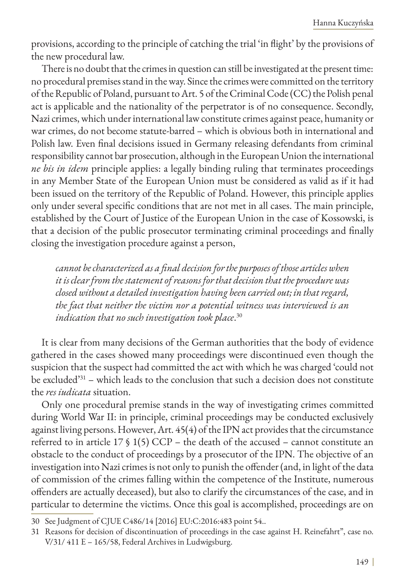provisions, according to the principle of catching the trial 'in flight' by the provisions of the new procedural law.

There is no doubt that the crimes in question can still be investigated at the present time: no procedural premises stand in the way. Since the crimes were committed on the territory of the Republic of Poland, pursuant to Art. 5 of the Criminal Code (CC) the Polish penal act is applicable and the nationality of the perpetrator is of no consequence. Secondly, Nazi crimes, which under international law constitute crimes against peace, humanity or war crimes, do not become statute-barred – which is obvious both in international and Polish law. Even final decisions issued in Germany releasing defendants from criminal responsibility cannot bar prosecution, although in the European Union the international *ne bis in idem* principle applies: a legally binding ruling that terminates proceedings in any Member State of the European Union must be considered as valid as if it had been issued on the territory of the Republic of Poland. However, this principle applies only under several specific conditions that are not met in all cases. The main principle, established by the Court of Justice of the European Union in the case of Kossowski, is that a decision of the public prosecutor terminating criminal proceedings and finally closing the investigation procedure against a person,

*cannot be characterized as a final decision for the purposes of those articles when it is clear from the statement of reasons for that decision that the procedure was closed without a detailed investigation having been carried out; in that regard, the fact that neither the victim nor a potential witness was interviewed is an indication that no such investigation took place*. 30

It is clear from many decisions of the German authorities that the body of evidence gathered in the cases showed many proceedings were discontinued even though the suspicion that the suspect had committed the act with which he was charged 'could not be excluded<sup>331</sup> – which leads to the conclusion that such a decision does not constitute the *res iudicata* situation.

Only one procedural premise stands in the way of investigating crimes committed during World War II: in principle, criminal proceedings may be conducted exclusively against living persons. However, Art. 45(4) of the IPN act provides that the circumstance referred to in article  $17 \S 1(5)$  CCP – the death of the accused – cannot constitute an obstacle to the conduct of proceedings by a prosecutor of the IPN. The objective of an investigation into Nazi crimes is not only to punish the offender (and, in light of the data of commission of the crimes falling within the competence of the Institute, numerous offenders are actually deceased), but also to clarify the circumstances of the case, and in particular to determine the victims. Once this goal is accomplished, proceedings are on

<sup>30</sup> See Judgment of CJUE C486/14 [2016] EU:C:2016:483 point 54..

<sup>31</sup> Reasons for decision of discontinuation of proceedings in the case against H. Reinefahrt", case no. V/31/ 411 E – 165/58, Federal Archives in Ludwigsburg.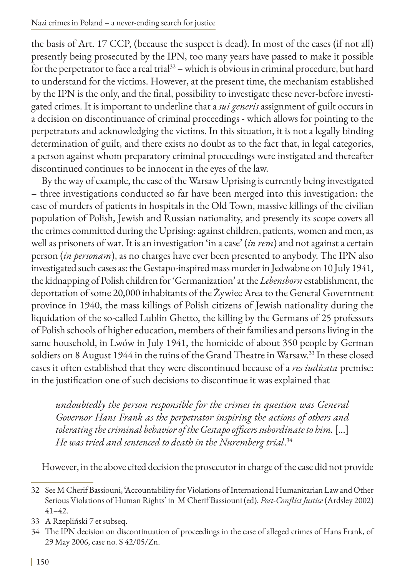the basis of Art. 17 CCP, (because the suspect is dead). In most of the cases (if not all) presently being prosecuted by the IPN, too many years have passed to make it possible for the perpetrator to face a real trial $32$  – which is obvious in criminal procedure, but hard to understand for the victims. However, at the present time, the mechanism established by the IPN is the only, and the final, possibility to investigate these never-before investigated crimes. It is important to underline that a *sui generis* assignment of guilt occurs in a decision on discontinuance of criminal proceedings - which allows for pointing to the perpetrators and acknowledging the victims. In this situation, it is not a legally binding determination of guilt, and there exists no doubt as to the fact that, in legal categories, a person against whom preparatory criminal proceedings were instigated and thereafter discontinued continues to be innocent in the eyes of the law.

By the way of example, the case of the Warsaw Uprising is currently being investigated – three investigations conducted so far have been merged into this investigation: the case of murders of patients in hospitals in the Old Town, massive killings of the civilian population of Polish, Jewish and Russian nationality, and presently its scope covers all the crimes committed during the Uprising: against children, patients, women and men, as well as prisoners of war. It is an investigation 'in a case' (*in rem*) and not against a certain person (*in personam*), as no charges have ever been presented to anybody. The IPN also investigated such cases as: the Gestapo-inspired mass murder in Jedwabne on 10 July 1941, the kidnapping of Polish children for 'Germanization' at the *Lebensborn* establishment, the deportation of some 20,000 inhabitants of the Żywiec Area to the General Government province in 1940, the mass killings of Polish citizens of Jewish nationality during the liquidation of the so-called Lublin Ghetto, the killing by the Germans of 25 professors of Polish schools of higher education, members of their families and persons living in the same household, in Lwów in July 1941, the homicide of about 350 people by German soldiers on 8 August 1944 in the ruins of the Grand Theatre in Warsaw.33 In these closed cases it often established that they were discontinued because of a *res iudicata* premise: in the justification one of such decisions to discontinue it was explained that

*undoubtedly the person responsible for the crimes in question was General Governor Hans Frank as the perpetrator inspiring the actions of others and tolerating the criminal behavior of the Gestapo officers subordinate to him.* [...] *He was tried and sentenced to death in the Nuremberg trial*. 34

However, in the above cited decision the prosecutor in charge of the case did not provide

- 33 A Rzepliński 7 et subseq.
- 34 The IPN decision on discontinuation of proceedings in the case of alleged crimes of Hans Frank, of 29 May 2006, case no. S 42/05/Zn.

<sup>32</sup> See M Cherif Bassiouni, 'Accountability for Violations of International Humanitarian Law and Other Serious Violations of Human Rights' in M Cherif Bassiouni (ed), *Post-Conflict Justice* (Ardsley 2002) 41–42.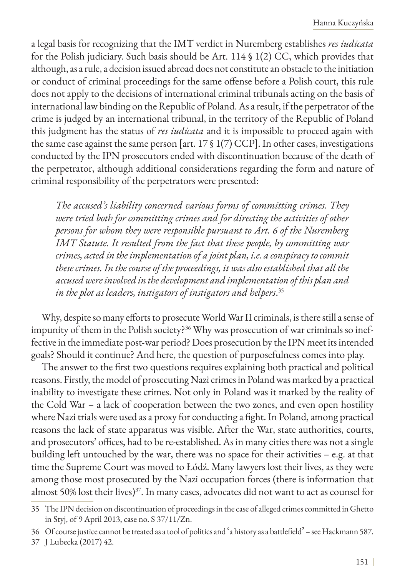a legal basis for recognizing that the IMT verdict in Nuremberg establishes *res iudicata* for the Polish judiciary. Such basis should be Art. 114 § 1(2) CC, which provides that although, as a rule, a decision issued abroad does not constitute an obstacle to the initiation or conduct of criminal proceedings for the same offense before a Polish court, this rule does not apply to the decisions of international criminal tribunals acting on the basis of international law binding on the Republic of Poland. As a result, if the perpetrator of the crime is judged by an international tribunal, in the territory of the Republic of Poland this judgment has the status of *res iudicata* and it is impossible to proceed again with the same case against the same person [art.  $17 \S 1(7)$  CCP]. In other cases, investigations conducted by the IPN prosecutors ended with discontinuation because of the death of the perpetrator, although additional considerations regarding the form and nature of criminal responsibility of the perpetrators were presented:

*The accused's liability concerned various forms of committing crimes. They were tried both for committing crimes and for directing the activities of other persons for whom they were responsible pursuant to Art. 6 of the Nuremberg IMT Statute. It resulted from the fact that these people, by committing war crimes, acted in the implementation of a joint plan, i.e. a conspiracy to commit these crimes. In the course of the proceedings, it was also established that all the accused were involved in the development and implementation of this plan and in the plot as leaders, instigators of instigators and helpers*. 35

Why, despite so many efforts to prosecute World War II criminals, is there still a sense of impunity of them in the Polish society?<sup>36</sup> Why was prosecution of war criminals so ineffective in the immediate post-war period? Does prosecution by the IPN meet its intended goals? Should it continue? And here, the question of purposefulness comes into play.

The answer to the first two questions requires explaining both practical and political reasons. Firstly, the model of prosecuting Nazi crimes in Poland was marked by a practical inability to investigate these crimes. Not only in Poland was it marked by the reality of the Cold War – a lack of cooperation between the two zones, and even open hostility where Nazi trials were used as a proxy for conducting a fight. In Poland, among practical reasons the lack of state apparatus was visible. After the War, state authorities, courts, and prosecutors' offices, had to be re-established. As in many cities there was not a single building left untouched by the war, there was no space for their activities – e.g. at that time the Supreme Court was moved to Łódź. Many lawyers lost their lives, as they were among those most prosecuted by the Nazi occupation forces (there is information that almost 50% lost their lives)<sup>37</sup>. In many cases, advocates did not want to act as counsel for

<sup>35</sup> The IPN decision on discontinuation of proceedings in the case of alleged crimes committed in Ghetto in Styj, of 9 April 2013, case no. S 37/11/Zn.

<sup>36</sup> Of course justice cannot be treated as a tool of politics and 'a history as a battlefield' – see Hackmann 587.

<sup>37</sup> J Lubecka (2017) 42.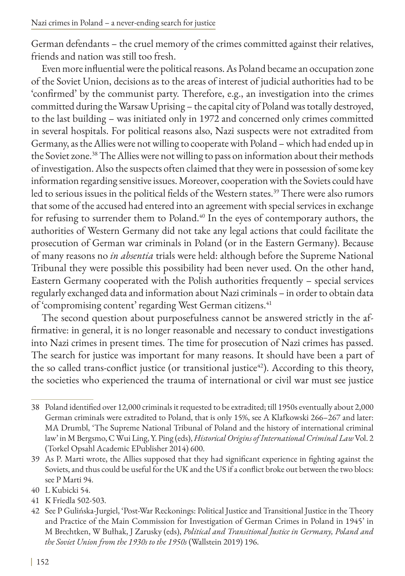German defendants – the cruel memory of the crimes committed against their relatives, friends and nation was still too fresh.

Even more influential were the political reasons. As Poland became an occupation zone of the Soviet Union, decisions as to the areas of interest of judicial authorities had to be 'confirmed' by the communist party. Therefore, e.g., an investigation into the crimes committed during the Warsaw Uprising – the capital city of Poland was totally destroyed, to the last building – was initiated only in 1972 and concerned only crimes committed in several hospitals. For political reasons also, Nazi suspects were not extradited from Germany, as the Allies were not willing to cooperate with Poland – which had ended up in the Soviet zone.38 The Allies were not willing to pass on information about their methods of investigation. Also the suspects often claimed that they were in possession of some key information regarding sensitive issues. Moreover, cooperation with the Soviets could have led to serious issues in the political fields of the Western states.<sup>39</sup> There were also rumors that some of the accused had entered into an agreement with special services in exchange for refusing to surrender them to Poland.<sup>40</sup> In the eyes of contemporary authors, the authorities of Western Germany did not take any legal actions that could facilitate the prosecution of German war criminals in Poland (or in the Eastern Germany). Because of many reasons no *in absentia* trials were held: although before the Supreme National Tribunal they were possible this possibility had been never used. On the other hand, Eastern Germany cooperated with the Polish authorities frequently – special services regularly exchanged data and information about Nazi criminals – in order to obtain data of 'compromising content' regarding West German citizens.<sup>41</sup>

The second question about purposefulness cannot be answered strictly in the affirmative: in general, it is no longer reasonable and necessary to conduct investigations into Nazi crimes in present times. The time for prosecution of Nazi crimes has passed. The search for justice was important for many reasons. It should have been a part of the so called trans-conflict justice (or transitional justice<sup>42</sup>). According to this theory, the societies who experienced the trauma of international or civil war must see justice

- 40 L Kubicki 54.
- 41 K Friedla 502-503.

<sup>38</sup> Poland identified over 12,000 criminals it requested to be extradited; till 1950s eventually about 2,000 German criminals were extradited to Poland, that is only 15%, see A Klafkowski 266–267 and later: MA Drumbl, 'The Supreme National Tribunal of Poland and the history of international criminal law' in M Bergsmo, C Wui Ling, Y. Ping (eds), *Historical Origins of International Criminal Law* Vol. 2 (Torkel Opsahl Academic EPublisher 2014) 600.

<sup>39</sup> As P. Marti wrote, the Allies supposed that they had significant experience in fighting against the Soviets, and thus could be useful for the UK and the US if a conflict broke out between the two blocs: see P Marti 94.

<sup>42</sup> See P Gulińska-Jurgiel, 'Post-War Reckonings: Political Justice and Transitional Justice in the Theory and Practice of the Main Commission for Investigation of German Crimes in Poland in 1945' in M Brechtken, W Bułhak, J Zarusky (eds), *Political and Transitional Justice in Germany, Poland and the Soviet Union from the 1930s to the 1950s* (Wallstein 2019) 196.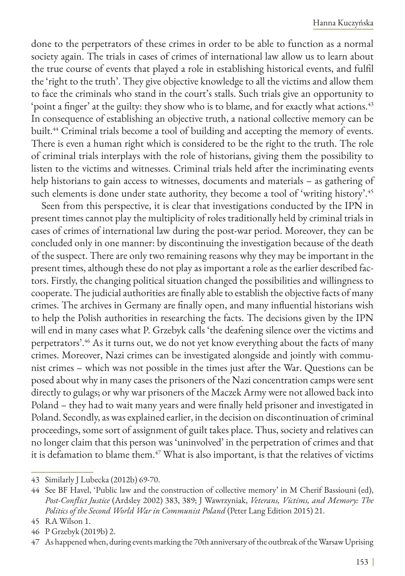done to the perpetrators of these crimes in order to be able to function as a normal society again. The trials in cases of crimes of international law allow us to learn about the true course of events that played a role in establishing historical events, and fulfil the 'right to the truth'. They give objective knowledge to all the victims and allow them to face the criminals who stand in the court's stalls. Such trials give an opportunity to 'point a finger' at the guilty: they show who is to blame, and for exactly what actions.<sup>43</sup> In consequence of establishing an objective truth, a national collective memory can be built.<sup>44</sup> Criminal trials become a tool of building and accepting the memory of events. There is even a human right which is considered to be the right to the truth. The role of criminal trials interplays with the role of historians, giving them the possibility to listen to the victims and witnesses. Criminal trials held after the incriminating events help historians to gain access to witnesses, documents and materials – as gathering of such elements is done under state authority, they become a tool of 'writing history'.<sup>45</sup>

Seen from this perspective, it is clear that investigations conducted by the IPN in present times cannot play the multiplicity of roles traditionally held by criminal trials in cases of crimes of international law during the post-war period. Moreover, they can be concluded only in one manner: by discontinuing the investigation because of the death of the suspect. There are only two remaining reasons why they may be important in the present times, although these do not play as important a role as the earlier described factors. Firstly, the changing political situation changed the possibilities and willingness to cooperate. The judicial authorities are finally able to establish the objective facts of many crimes. The archives in Germany are finally open, and many influential historians wish to help the Polish authorities in researching the facts. The decisions given by the IPN will end in many cases what P. Grzebyk calls 'the deafening silence over the victims and perpetrators'.<sup>46</sup> As it turns out, we do not yet know everything about the facts of many crimes. Moreover, Nazi crimes can be investigated alongside and jointly with communist crimes – which was not possible in the times just after the War. Questions can be posed about why in many cases the prisoners of the Nazi concentration camps were sent directly to gulags; or why war prisoners of the Maczek Army were not allowed back into Poland – they had to wait many years and were finally held prisoner and investigated in Poland. Secondly, as was explained earlier, in the decision on discontinuation of criminal proceedings, some sort of assignment of guilt takes place. Thus, society and relatives can no longer claim that this person was 'uninvolved' in the perpetration of crimes and that it is defamation to blame them.<sup>47</sup> What is also important, is that the relatives of victims

<sup>43</sup> Similarly J Lubecka (2012b) 69-70.

<sup>44</sup> See BF Havel, 'Public law and the construction of collective memory' in M Cherif Bassiouni (ed), *Post-Conflict Justice* (Ardsley 2002) 383, 389; J Wawrzyniak, *Veterans, Victims, and Memory: The Politics of the Second World War in Communist Poland* (Peter Lang Edition 2015) 21.

<sup>45</sup> RA Wilson 1.

<sup>46</sup> P Grzebyk (2019b) 2.

<sup>47</sup> As happened when, during events marking the 70th anniversary of the outbreak of the Warsaw Uprising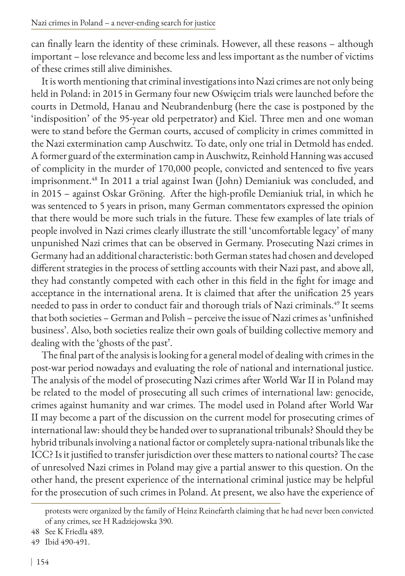can finally learn the identity of these criminals. However, all these reasons – although important – lose relevance and become less and less important as the number of victims of these crimes still alive diminishes.

It is worth mentioning that criminal investigations into Nazi crimes are not only being held in Poland: in 2015 in Germany four new Oświęcim trials were launched before the courts in Detmold, Hanau and Neubrandenburg (here the case is postponed by the 'indisposition' of the 95-year old perpetrator) and Kiel. Three men and one woman were to stand before the German courts, accused of complicity in crimes committed in the Nazi extermination camp Auschwitz. To date, only one trial in Detmold has ended. A former guard of the extermination camp in Auschwitz, Reinhold Hanning was accused of complicity in the murder of 170,000 people, convicted and sentenced to five years imprisonment.48 In 2011 a trial against Iwan (John) Demianiuk was concluded, and in 2015 – against Oskar Gröning. After the high-profile Demianiuk trial, in which he was sentenced to 5 years in prison, many German commentators expressed the opinion that there would be more such trials in the future. These few examples of late trials of people involved in Nazi crimes clearly illustrate the still 'uncomfortable legacy' of many unpunished Nazi crimes that can be observed in Germany. Prosecuting Nazi crimes in Germany had an additional characteristic: both German states had chosen and developed different strategies in the process of settling accounts with their Nazi past, and above all, they had constantly competed with each other in this field in the fight for image and acceptance in the international arena. It is claimed that after the unification 25 years needed to pass in order to conduct fair and thorough trials of Nazi criminals.<sup>49</sup> It seems that both societies – German and Polish – perceive the issue of Nazi crimes as 'unfinished business'. Also, both societies realize their own goals of building collective memory and dealing with the 'ghosts of the past'.

The final part of the analysis is looking for a general model of dealing with crimes in the post-war period nowadays and evaluating the role of national and international justice. The analysis of the model of prosecuting Nazi crimes after World War II in Poland may be related to the model of prosecuting all such crimes of international law: genocide, crimes against humanity and war crimes. The model used in Poland after World War II may become a part of the discussion on the current model for prosecuting crimes of international law: should they be handed over to supranational tribunals? Should they be hybrid tribunals involving a national factor or completely supra-national tribunals like the ICC? Is it justified to transfer jurisdiction over these matters to national courts? The case of unresolved Nazi crimes in Poland may give a partial answer to this question. On the other hand, the present experience of the international criminal justice may be helpful for the prosecution of such crimes in Poland. At present, we also have the experience of

protests were organized by the family of Heinz Reinefarth claiming that he had never been convicted of any crimes, see H Radziejowska 390.

<sup>48</sup> See K Friedla 489.

<sup>49</sup> Ibid 490-491.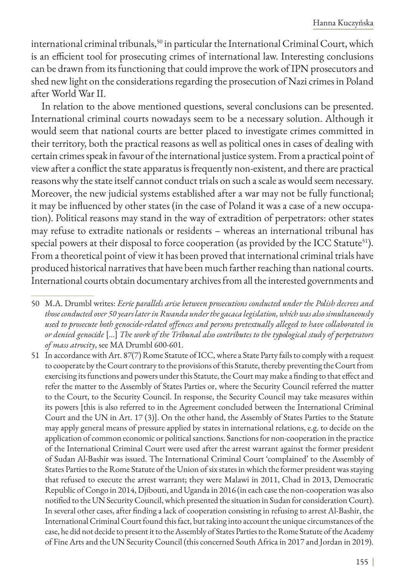international criminal tribunals,<sup>50</sup> in particular the International Criminal Court, which is an efficient tool for prosecuting crimes of international law. Interesting conclusions can be drawn from its functioning that could improve the work of IPN prosecutors and shed new light on the considerations regarding the prosecution of Nazi crimes in Poland after World War II.

In relation to the above mentioned questions, several conclusions can be presented. International criminal courts nowadays seem to be a necessary solution. Although it would seem that national courts are better placed to investigate crimes committed in their territory, both the practical reasons as well as political ones in cases of dealing with certain crimes speak in favour of the international justice system. From a practical point of view after a conflict the state apparatus is frequently non-existent, and there are practical reasons why the state itself cannot conduct trials on such a scale as would seem necessary. Moreover, the new judicial systems established after a war may not be fully functional; it may be influenced by other states (in the case of Poland it was a case of a new occupation). Political reasons may stand in the way of extradition of perpetrators: other states may refuse to extradite nationals or residents – whereas an international tribunal has special powers at their disposal to force cooperation (as provided by the ICC Statute<sup>51</sup>). From a theoretical point of view it has been proved that international criminal trials have produced historical narratives that have been much farther reaching than national courts. International courts obtain documentary archives from all the interested governments and

<sup>50</sup> M.A. Drumbl writes: *Eerie parallels arise between prosecutions conducted under the Polish decrees and those conducted over 50 years later in Rwanda under the gacaca legislation, which was also simultaneously used to prosecute both genocide-related offences and persons pretextually alleged to have collaborated in or denied genocide* […] *The work of the Tribunal also contributes to the typological study of perpetrators of mass atrocity*, see MA Drumbl 600-601.

<sup>51</sup> In accordance with Art. 87(7) Rome Statute of ICC, where a State Party fails to comply with a request to cooperate by the Court contrary to the provisions of this Statute, thereby preventing the Court from exercising its functions and powers under this Statute, the Court may make a finding to that effect and refer the matter to the Assembly of States Parties or, where the Security Council referred the matter to the Court, to the Security Council. In response, the Security Council may take measures within its powers [this is also referred to in the Agreement concluded between the International Criminal Court and the UN in Art. 17 (3)]. On the other hand, the Assembly of States Parties to the Statute may apply general means of pressure applied by states in international relations, e.g. to decide on the application of common economic or political sanctions. Sanctions for non-cooperation in the practice of the International Criminal Court were used after the arrest warrant against the former president of Sudan Al-Bashir was issued. The International Criminal Court 'complained' to the Assembly of States Parties to the Rome Statute of the Union of six states in which the former president was staying that refused to execute the arrest warrant; they were Malawi in 2011, Chad in 2013, Democratic Republic of Congo in 2014, Djibouti, and Uganda in 2016 (in each case the non-cooperation was also notified to the UN Security Council, which presented the situation in Sudan for consideration Court). In several other cases, after finding a lack of cooperation consisting in refusing to arrest Al-Bashir, the International Criminal Court found this fact, but taking into account the unique circumstances of the case, he did not decide to present it to the Assembly of States Parties to the Rome Statute of the Academy of Fine Arts and the UN Security Council (this concerned South Africa in 2017 and Jordan in 2019).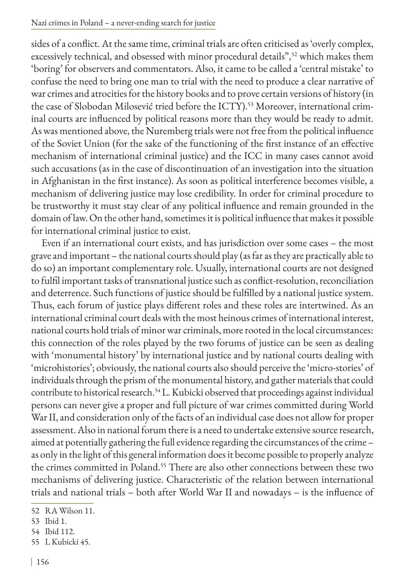#### Nazi crimes in Poland – a never-ending search for justice

sides of a conflict. At the same time, criminal trials are often criticised as 'overly complex, excessively technical, and obsessed with minor procedural details",<sup>52</sup> which makes them 'boring' for observers and commentators. Also, it came to be called a 'central mistake' to confuse the need to bring one man to trial with the need to produce a clear narrative of war crimes and atrocities for the history books and to prove certain versions of history (in the case of Slobodan Milosević tried before the ICTY).53 Moreover, international criminal courts are influenced by political reasons more than they would be ready to admit. As was mentioned above, the Nuremberg trials were not free from the political influence of the Soviet Union (for the sake of the functioning of the first instance of an effective mechanism of international criminal justice) and the ICC in many cases cannot avoid such accusations (as in the case of discontinuation of an investigation into the situation in Afghanistan in the first instance). As soon as political interference becomes visible, a mechanism of delivering justice may lose credibility. In order for criminal procedure to be trustworthy it must stay clear of any political influence and remain grounded in the domain of law. On the other hand, sometimes it is political influence that makes it possible for international criminal justice to exist.

Even if an international court exists, and has jurisdiction over some cases – the most grave and important – the national courts should play (as far as they are practically able to do so) an important complementary role. Usually, international courts are not designed to fulfil important tasks of transnational justice such as conflict-resolution, reconciliation and deterrence. Such functions of justice should be fulfilled by a national justice system. Thus, each forum of justice plays different roles and these roles are intertwined. As an international criminal court deals with the most heinous crimes of international interest, national courts hold trials of minor war criminals, more rooted in the local circumstances: this connection of the roles played by the two forums of justice can be seen as dealing with 'monumental history' by international justice and by national courts dealing with 'microhistories'; obviously, the national courts also should perceive the 'micro-stories' of individuals through the prism of the monumental history, and gather materials that could contribute to historical research.<sup>54</sup> L. Kubicki observed that proceedings against individual persons can never give a proper and full picture of war crimes committed during World War II, and consideration only of the facts of an individual case does not allow for proper assessment. Also in national forum there is a need to undertake extensive source research, aimed at potentially gathering the full evidence regarding the circumstances of the crime – as only in the light of this general information does it become possible to properly analyze the crimes committed in Poland.<sup>55</sup> There are also other connections between these two mechanisms of delivering justice. Characteristic of the relation between international trials and national trials – both after World War II and nowadays – is the influence of

54 Ibid 112.

<sup>52</sup> RA Wilson 11.

<sup>53</sup> Ibid 1.

<sup>55</sup> L Kubicki 45.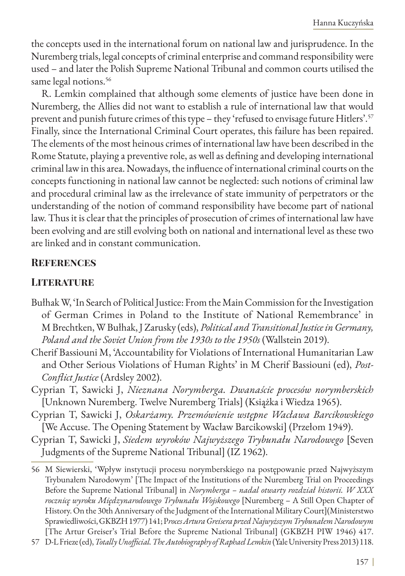the concepts used in the international forum on national law and jurisprudence. In the Nuremberg trials, legal concepts of criminal enterprise and command responsibility were used – and later the Polish Supreme National Tribunal and common courts utilised the same legal notions.<sup>56</sup>

R. Lemkin complained that although some elements of justice have been done in Nuremberg, the Allies did not want to establish a rule of international law that would prevent and punish future crimes of this type - they 'refused to envisage future Hitlers'.<sup>57</sup> Finally, since the International Criminal Court operates, this failure has been repaired. The elements of the most heinous crimes of international law have been described in the Rome Statute, playing a preventive role, as well as defining and developing international criminal law in this area. Nowadays, the influence of international criminal courts on the concepts functioning in national law cannot be neglected: such notions of criminal law and procedural criminal law as the irrelevance of state immunity of perpetrators or the understanding of the notion of command responsibility have become part of national law. Thus it is clear that the principles of prosecution of crimes of international law have been evolving and are still evolving both on national and international level as these two are linked and in constant communication.

### **References**

#### **LITERATURE**

- Bułhak W, 'In Search of Political Justice: From the Main Commission for the Investigation of German Crimes in Poland to the Institute of National Remembrance' in M Brechtken, W Bułhak, J Zarusky (eds), *Political and Transitional Justice in Germany, Poland and the Soviet Union from the 1930s to the 1950s* (Wallstein 2019).
- Cherif Bassiouni M, 'Accountability for Violations of International Humanitarian Law and Other Serious Violations of Human Rights' in M Cherif Bassiouni (ed), *Post-Conflict Justice* (Ardsley 2002).
- Cyprian T, Sawicki J, *Nieznana Norymberga. Dwanaście procesów norymberskich* [Unknown Nuremberg. Twelve Nuremberg Trials] (Książka i Wiedza 1965).
- Cyprian T, Sawicki J, *Oskarżamy. Przemówienie wstępne Wacława Barcikowskiego* [We Accuse. The Opening Statement by Wacław Barcikowski] (Przełom 1949).
- Cyprian T, Sawicki J, *Siedem wyroków Najwyższego Trybunału Narodowego* [Seven Judgments of the Supreme National Tribunal] (IZ 1962).

<sup>56</sup> M Siewierski, 'Wpływ instytucji procesu norymberskiego na postępowanie przed Najwyższym Trybunałem Narodowym' [The Impact of the Institutions of the Nuremberg Trial on Proceedings Before the Supreme National Tribunal] in *Norymberga – nadal otwarty rozdział historii. W XXX rocznicę wyroku Międzynarodowego Trybunału Wojskowego* [Nuremberg – A Still Open Chapter of History. On the 30th Anniversary of the Judgment of the International Military Court](Ministerstwo Sprawiedliwości, GKBZH 1977) 141; P*roces Artura Greisera przed Najwyższym Trybunałem Narodowym* [The Artur Greiser's Trial Before the Supreme National Tribunal] (GKBZH PIW 1946) 417.

<sup>57</sup> D-L Frieze (ed), *Totally Unofficial. The Autobiography of Raphael Lemkin* (Yale University Press 2013) 118.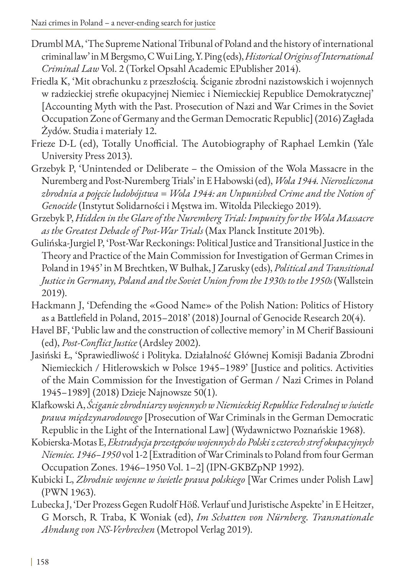- Drumbl MA, 'The Supreme National Tribunal of Poland and the history of international criminal law' in M Bergsmo, C Wui Ling, Y. Ping (eds), *Historical Origins of International Criminal Law* Vol. 2 (Torkel Opsahl Academic EPublisher 2014).
- Friedla K, 'Mit obrachunku z przeszłością. Ściganie zbrodni nazistowskich i wojennych w radzieckiej strefie okupacyjnej Niemiec i Niemieckiej Republice Demokratycznej' [Accounting Myth with the Past. Prosecution of Nazi and War Crimes in the Soviet Occupation Zone of Germany and the German Democratic Republic] (2016) Zagłada Żydów. Studia i materiały 12.
- Frieze D-L (ed), Totally Unofficial. The Autobiography of Raphael Lemkin (Yale University Press 2013).
- Grzebyk P, 'Unintended or Deliberate the Omission of the Wola Massacre in the Nuremberg and Post-Nuremberg Trials' in E Habowski (ed), *Wola 1944. Nierozliczona zbrodnia a pojęcie ludobójstwa = Wola 1944: an Unpunished Crime and the Notion of Genocide* (Instytut Solidarności i Męstwa im. Witolda Pileckiego 2019).
- Grzebyk P, *Hidden in the Glare of the Nuremberg Trial: Impunity for the Wola Massacre as the Greatest Debacle of Post-War Trials* (Max Planck Institute 2019b).
- Gulińska-Jurgiel P, 'Post-War Reckonings: Political Justice and Transitional Justice in the Theory and Practice of the Main Commission for Investigation of German Crimes in Poland in 1945' in M Brechtken, W Bułhak, J Zarusky (eds), *Political and Transitional Justice in Germany, Poland and the Soviet Union from the 1930s to the 1950s* (Wallstein 2019).
- Hackmann J, 'Defending the «Good Name» of the Polish Nation: Politics of History as a Battlefield in Poland, 2015–2018' (2018) Journal of Genocide Research 20(4).
- Havel BF, 'Public law and the construction of collective memory' in M Cherif Bassiouni (ed), *Post-Conflict Justice* (Ardsley 2002).
- Jasiński Ł, 'Sprawiedliwość i Polityka. Działalność Głównej Komisji Badania Zbrodni Niemieckich / Hitlerowskich w Polsce 1945–1989' [Justice and politics. Activities of the Main Commission for the Investigation of German / Nazi Crimes in Poland 1945–1989] (2018) Dzieje Najnowsze 50(1).
- Klafkowski A, *Ściganie zbrodniarzy wojennych w Niemieckiej Republice Federalnej w świetle prawa międzynarodowego* [Prosecution of War Criminals in the German Democratic Republic in the Light of the International Law] (Wydawnictwo Poznańskie 1968).
- Kobierska-Motas E, *Ekstradycja przestępców wojennych do Polski z czterech stref okupacyjnych Niemiec. 1946–1950* vol 1-2 [Extradition of War Criminals to Poland from four German Occupation Zones. 1946–1950 Vol. 1–2] (IPN-GKBZpNP 1992).
- Kubicki L, *Zbrodnie wojenne w świetle prawa polskiego* [War Crimes under Polish Law] (PWN 1963).
- Lubecka J, 'Der Prozess Gegen Rudolf Höß. Verlauf und Juristische Aspekte' in E Heitzer, G Morsch, R Traba, K Woniak (ed), *Im Schatten von Nürnberg. Transnationale Ahndung von NS-Verbrechen* (Metropol Verlag 2019).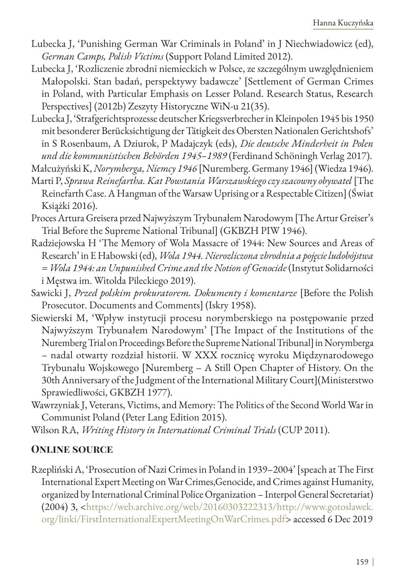- Lubecka J, 'Punishing German War Criminals in Poland' in J Niechwiadowicz (ed), *German Camps, Polish Victims* (Support Poland Limited 2012).
- Lubecka J, 'Rozliczenie zbrodni niemieckich w Polsce, ze szczególnym uwzględnieniem Małopolski. Stan badań, perspektywy badawcze' [Settlement of German Crimes in Poland, with Particular Emphasis on Lesser Poland. Research Status, Research Perspectives] (2012b) Zeszyty Historyczne WiN-u 21(35).
- Lubecka J, 'Strafgerichtsprozesse deutscher Kriegsverbrecher in Kleinpolen 1945 bis 1950 mit besonderer Berücksichtigung der Tätigkeit des Obersten Nationalen Gerichtshofs' in S Rosenbaum, A Dziurok, P Madajczyk (eds), *Die deutsche Minderheit in Polen und die kommunistischen Behörden 1945–1989* (Ferdinand Schöningh Verlag 2017).

Małcużyński K, *Norymberga, Niemcy 1946* [Nuremberg. Germany 1946] (Wiedza 1946).

- Marti P, *Sprawa Reinefartha. Kat Powstania Warszawskiego czy szacowny obywatel* [The Reinefarth Case. A Hangman of the Warsaw Uprising or a Respectable Citizen] (Świat Książki 2016).
- Proces Artura Greisera przed Najwyższym Trybunałem Narodowym [The Artur Greiser's Trial Before the Supreme National Tribunal] (GKBZH PIW 1946).
- Radziejowska H 'The Memory of Wola Massacre of 1944: New Sources and Areas of Research' in E Habowski (ed), *Wola 1944. Nierozliczona zbrodnia a pojęcie ludobójstwa = Wola 1944: an Unpunished Crime and the Notion of Genocide* (Instytut Solidarności i Męstwa im. Witolda Pileckiego 2019).
- Sawicki J, *Przed polskim prokuratorem. Dokumenty i komentarze* [Before the Polish Prosecutor. Documents and Comments] (Iskry 1958).
- Siewierski M, 'Wpływ instytucji procesu norymberskiego na postępowanie przed Najwyższym Trybunałem Narodowym' [The Impact of the Institutions of the Nuremberg Trial on Proceedings Before the Supreme National Tribunal] in Norymberga – nadal otwarty rozdział historii. W XXX rocznicę wyroku Międzynarodowego Trybunału Wojskowego [Nuremberg – A Still Open Chapter of History. On the 30th Anniversary of the Judgment of the International Military Court](Ministerstwo Sprawiedliwości, GKBZH 1977).
- Wawrzyniak J, Veterans, Victims, and Memory: The Politics of the Second World War in Communist Poland (Peter Lang Edition 2015).
- Wilson RA, *Writing History in International Criminal Trials* (CUP 2011).

## **Online source**

Rzepliński A, 'Prosecution of Nazi Crimes in Poland in 1939–2004' [speach at The First International Expert Meeting on War Crimes,Genocide, and Crimes against Humanity, organized by International Criminal Police Organization – Interpol General Secretariat) (2004) 3, <https://web.archive.org/web/20160303222313/http://www.gotoslawek. org/linki/FirstInternationalExpertMeetingOnWarCrimes.pdf> accessed 6 Dec 2019